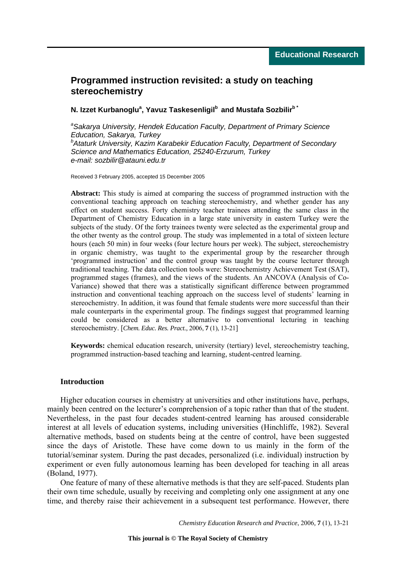# **Programmed instruction revisited: a study on teaching stereochemistry**

# **N. Izzet Kurbanoglu<sup>a</sup> , Yavuz Taskesenligilb and Mustafa Sozbilirb \***

*a Sakarya University, Hendek Education Faculty, Department of Primary Science Education, Sakarya, Turkey b Ataturk University, Kazim Karabekir Education Faculty, Department of Secondary Science and Mathematics Education, 25240-Erzurum, Turkey e-mail: sozbilir@atauni.edu.tr* 

Received 3 February 2005, accepted 15 December 2005

**Abstract:** This study is aimed at comparing the success of programmed instruction with the conventional teaching approach on teaching stereochemistry, and whether gender has any effect on student success. Forty chemistry teacher trainees attending the same class in the Department of Chemistry Education in a large state university in eastern Turkey were the subjects of the study. Of the forty trainees twenty were selected as the experimental group and the other twenty as the control group. The study was implemented in a total of sixteen lecture hours (each 50 min) in four weeks (four lecture hours per week). The subject, stereochemistry in organic chemistry, was taught to the experimental group by the researcher through 'programmed instruction' and the control group was taught by the course lecturer through traditional teaching. The data collection tools were: Stereochemistry Achievement Test (SAT), programmed stages (frames), and the views of the students. An ANCOVA (Analysis of Co-Variance) showed that there was a statistically significant difference between programmed instruction and conventional teaching approach on the success level of students' learning in stereochemistry. In addition, it was found that female students were more successful than their male counterparts in the experimental group. The findings suggest that programmed learning could be considered as a better alternative to conventional lecturing in teaching stereochemistry. [*Chem. Educ. Res. Pract.,* 2006, **7** (1), 13-21]

**Keywords:** chemical education research, university (tertiary) level, stereochemistry teaching, programmed instruction-based teaching and learning, student-centred learning.

## **Introduction**

Higher education courses in chemistry at universities and other institutions have, perhaps, mainly been centred on the lecturer's comprehension of a topic rather than that of the student. Nevertheless, in the past four decades student-centred learning has aroused considerable interest at all levels of education systems, including universities (Hinchliffe, 1982). Several alternative methods, based on students being at the centre of control, have been suggested since the days of Aristotle. These have come down to us mainly in the form of the tutorial/seminar system. During the past decades, personalized (i.e. individual) instruction by experiment or even fully autonomous learning has been developed for teaching in all areas (Boland, 1977).

One feature of many of these alternative methods is that they are self-paced. Students plan their own time schedule, usually by receiving and completing only one assignment at any one time, and thereby raise their achievement in a subsequent test performance. However, there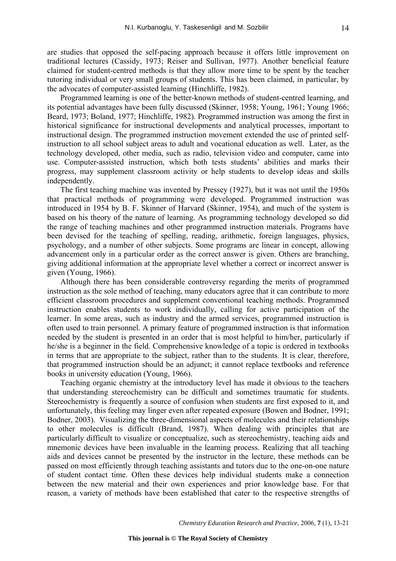are studies that opposed the self-pacing approach because it offers little improvement on traditional lectures (Cassidy, 1973; Reiser and Sullivan, 1977). Another beneficial feature claimed for student-centred methods is that they allow more time to be spent by the teacher tutoring individual or very small groups of students. This has been claimed, in particular, by the advocates of computer-assisted learning (Hinchliffe, 1982).

Programmed learning is one of the better-known methods of student-centred learning, and its potential advantages have been fully discussed (Skinner, 1958; Young, 1961; Young 1966; Beard, 1973; Boland, 1977; Hinchliffe, 1982). Programmed instruction was among the first in historical significance for instructional developments and analytical processes, important to instructional design. The programmed instruction movement extended the use of printed selfinstruction to all school subject areas to adult and vocational education as well. Later, as the technology developed, other media, such as radio, television video and computer, came into use. Computer-assisted instruction, which both tests students' abilities and marks their progress, may supplement classroom activity or help students to develop ideas and skills independently.

The first teaching machine was invented by Pressey (1927), but it was not until the 1950s that practical methods of programming were developed. Programmed instruction was introduced in 1954 by B. F. [Skinner](http://www.factmonster.com/ce6/people/A0845472.html) of Harvard (Skinner, 1954), and much of the system is based on his theory of the nature of learning. As programming technology developed so did the range of teaching machines and other programmed instruction materials. Programs have been devised for the teaching of spelling, reading, arithmetic, foreign languages, physics, psychology, and a number of other subjects. Some programs are linear in concept, allowing advancement only in a particular order as the correct answer is given. Others are branching, giving additional information at the appropriate level whether a correct or incorrect answer is given (Young, 1966).

Although there has been considerable controversy regarding the merits of programmed instruction as the sole method of teaching, many educators agree that it can contribute to more efficient classroom procedures and supplement conventional teaching methods. Programmed instruction enables students to work individually, calling for active participation of the learner. In some areas, such as industry and the armed services, programmed instruction is often used to train personnel. A primary feature of programmed instruction is that information needed by the student is presented in an order that is most helpful to him/her, particularly if he/she is a beginner in the field. Comprehensive knowledge of a topic is ordered in textbooks in terms that are appropriate to the subject, rather than to the students. It is clear, therefore, that programmed instruction should be an adjunct; it cannot replace textbooks and reference books in university education (Young, 1966).

Teaching organic chemistry at the introductory level has made it obvious to the teachers that understanding stereochemistry can be difficult and sometimes traumatic for students. Stereochemistry is frequently a source of confusion when students are first exposed to it, and unfortunately, this feeling may linger even after repeated exposure (Bowen and Bodner, 1991; Bodner, 2003). Visualizing the three-dimensional aspects of molecules and their relationships to other molecules is difficult (Brand, 1987). When dealing with principles that are particularly difficult to visualize or conceptualize, such as stereochemistry, teaching aids and mnemonic devices have been invaluable in the learning process. Realizing that all teaching aids and devices cannot be presented by the instructor in the lecture, these methods can be passed on most efficiently through teaching assistants and tutors due to the one-on-one nature of student contact time. Often these devices help individual students make a connection between the new material and their own experiences and prior knowledge base. For that reason, a variety of methods have been established that cater to the respective strengths of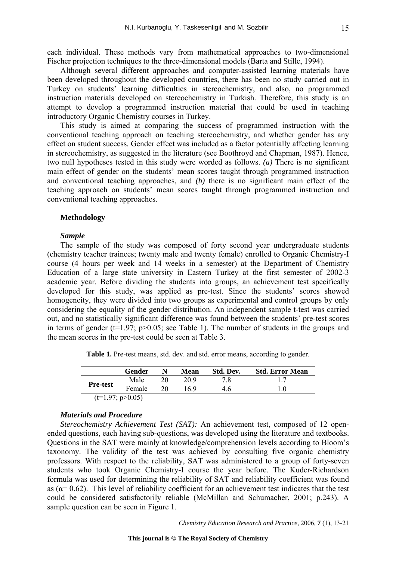each individual. These methods vary from mathematical approaches to two-dimensional Fischer projection techniques to the three-dimensional models (Barta and Stille, 1994).

Although several different approaches and computer-assisted learning materials have been developed throughout the developed countries, there has been no study carried out in Turkey on students' learning difficulties in stereochemistry, and also, no programmed instruction materials developed on stereochemistry in Turkish. Therefore, this study is an attempt to develop a programmed instruction material that could be used in teaching introductory Organic Chemistry courses in Turkey.

This study is aimed at comparing the success of programmed instruction with the conventional teaching approach on teaching stereochemistry, and whether gender has any effect on student success. Gender effect was included as a factor potentially affecting learning in stereochemistry, as suggested in the literature (see Boothroyd and Chapman, 1987). Hence, two null hypotheses tested in this study were worded as follows. *(a)* There is no significant main effect of gender on the students' mean scores taught through programmed instruction and conventional teaching approaches, and *(b)* there is no significant main effect of the teaching approach on students' mean scores taught through programmed instruction and conventional teaching approaches.

## **Methodology**

#### *Sample*

The sample of the study was composed of forty second year undergraduate students (chemistry teacher trainees; twenty male and twenty female) enrolled to Organic Chemistry-I course (4 hours per week and 14 weeks in a semester) at the Department of Chemistry Education of a large state university in Eastern Turkey at the first semester of 2002-3 academic year. Before dividing the students into groups, an achievement test specifically developed for this study, was applied as pre-test. Since the students' scores showed homogeneity, they were divided into two groups as experimental and control groups by only considering the equality of the gender distribution. An independent sample t-test was carried out, and no statistically significant difference was found between the students' pre-test scores in terms of gender ( $t=1.97$ ;  $p>0.05$ ; see Table 1). The number of students in the groups and the mean scores in the pre-test could be seen at Table 3.

|  | Table 1. Pre-test means, std. dev. and std. error means, according to gender. |  |  |  |
|--|-------------------------------------------------------------------------------|--|--|--|
|  |                                                                               |  |  |  |

|                    | Gender |  | Mean | Std. Dev. | <b>Std. Error Mean</b> |
|--------------------|--------|--|------|-----------|------------------------|
|                    | Male   |  | 20.9 | 78        |                        |
| <b>Pre-test</b>    | Female |  | 169  | 46        | - 0                    |
| $(t=1.97; p>0.05)$ |        |  |      |           |                        |

## *Materials and Procedure*

*Stereochemistry Achievement Test (SAT):* An achievement test, composed of 12 openended questions, each having sub-questions, was developed using the literature and textbooks. Questions in the SAT were mainly at knowledge/comprehension levels according to Bloom's taxonomy. The validity of the test was achieved by consulting five organic chemistry professors. With respect to the reliability, SAT was administered to a group of forty-seven students who took Organic Chemistry-I course the year before. The Kuder-Richardson formula was used for determining the reliability of SAT and reliability coefficient was found as ( $\alpha$ = 0.62). This level of reliability coefficient for an achievement test indicates that the test could be considered satisfactorily reliable (McMillan and Schumacher, 2001; p.243). A sample question can be seen in Figure 1.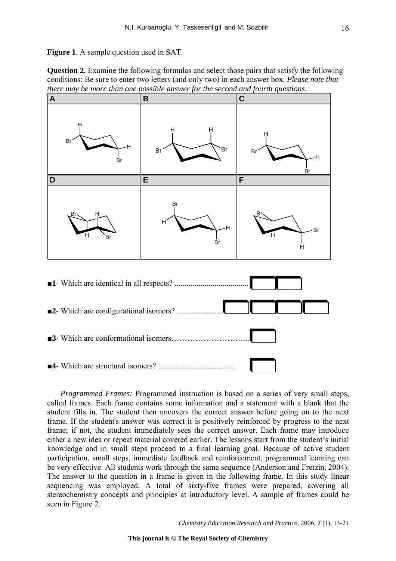**Figure 1**. A sample question used in SAT.

**Question 2.** Examine the following formulas and select those pairs that satisfy the following conditions: Be sure to enter two letters (and only two) in each answer box. *Please note that there may be more than one possible answer for the second and fourth questions.*



*Programmed Frames:* Programmed instruction is based on a series of very small steps, called frames. Each frame contains some information and a statement with a blank that the student fills in. The student then uncovers the correct answer before going on to the next frame. If the student's answer was correct it is positively reinforced by progress to the next frame; if not, the student immediately sees the correct answer. Each frame may introduce either a new idea or repeat material covered earlier. The lessons start from the student's initial knowledge and in small steps proceed to a final learning goal. Because of active student participation, small steps, immediate feedback and reinforcement, programmed learning can be very effective. All students work through the same sequence (Anderson and Fretzin, 2004). The answer to the question in a frame is given in the following frame. In this study linear sequencing was employed. A total of sixty-five frames were prepared, covering all stereochemistry concepts and principles at introductory level. A sample of frames could be seen in Figure 2.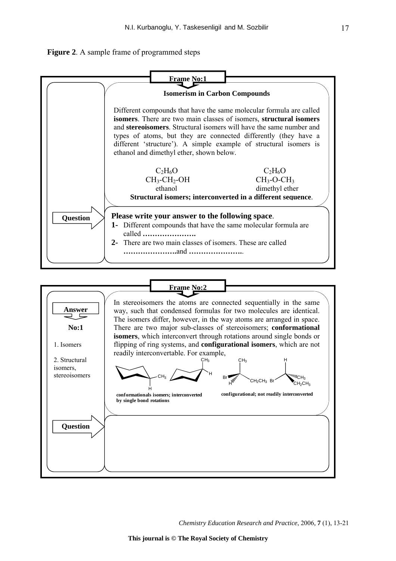

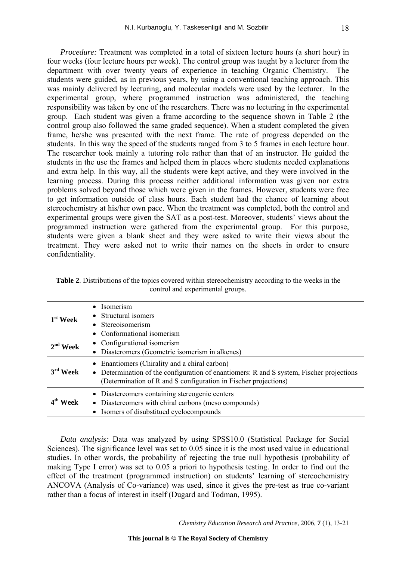*Procedure:* Treatment was completed in a total of sixteen lecture hours (a short hour) in four weeks (four lecture hours per week). The control group was taught by a lecturer from the department with over twenty years of experience in teaching Organic Chemistry. The students were guided, as in previous years, by using a conventional teaching approach. This was mainly delivered by lecturing, and molecular models were used by the lecturer. In the experimental group, where programmed instruction was administered, the teaching responsibility was taken by one of the researchers. There was no lecturing in the experimental group. Each student was given a frame according to the sequence shown in Table 2 (the control group also followed the same graded sequence). When a student completed the given frame, he/she was presented with the next frame. The rate of progress depended on the students. In this way the speed of the students ranged from 3 to 5 frames in each lecture hour. The researcher took mainly a tutoring role rather than that of an instructor. He guided the students in the use the frames and helped them in places where students needed explanations and extra help. In this way, all the students were kept active, and they were involved in the learning process. During this process neither additional information was given nor extra problems solved beyond those which were given in the frames. However, students were free to get information outside of class hours. Each student had the chance of learning about stereochemistry at his/her own pace. When the treatment was completed, both the control and experimental groups were given the SAT as a post-test. Moreover, students' views about the programmed instruction were gathered from the experimental group. For this purpose, students were given a blank sheet and they were asked to write their views about the treatment. They were asked not to write their names on the sheets in order to ensure confidentiality.

| <b>Table 2.</b> Distributions of the topics covered within stereochemistry according to the weeks in the |                                  |  |  |
|----------------------------------------------------------------------------------------------------------|----------------------------------|--|--|
|                                                                                                          | control and experimental groups. |  |  |

| $1st$ Week | $\bullet$ Isomerism<br>• Structural isomers<br>• Stereoisomerism<br>• Conformational isomerism                                                                                                               |
|------------|--------------------------------------------------------------------------------------------------------------------------------------------------------------------------------------------------------------|
| $2nd$ Week | • Configurational isomerism<br>• Diasteromers (Geometric isomerism in alkenes)                                                                                                                               |
| $3rd$ Week | • Enantiomers (Chirality and a chiral carbon)<br>• Determination of the configuration of enantiomers: R and S system, Fischer projections<br>(Determination of R and S configuration in Fischer projections) |
| $4th$ Week | • Diastereomers containing stereogenic centers<br>• Diastereomers with chiral carbons (meso compounds)<br>• Isomers of disubstitued cyclocompounds                                                           |

*Data analysis:* Data was analyzed by using SPSS10.0 (Statistical Package for Social Sciences). The significance level was set to 0.05 since it is the most used value in educational studies. In other words, the probability of rejecting the true null hypothesis (probability of making Type I error) was set to 0.05 a priori to hypothesis testing. In order to find out the effect of the treatment (programmed instruction) on students' learning of stereochemistry ANCOVA (Analysis of Co-variance) was used, since it gives the pre-test as true co-variant rather than a focus of interest in itself (Dugard and Todman, 1995).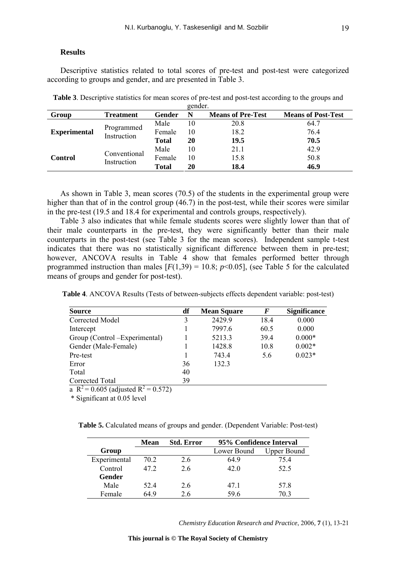#### **Results**

Descriptive statistics related to total scores of pre-test and post-test were categorized according to groups and gender, and are presented in Table 3.

| gender.             |                           |              |    |                          |                           |  |  |
|---------------------|---------------------------|--------------|----|--------------------------|---------------------------|--|--|
| Group               | <b>Treatment</b>          | Gender       | N  | <b>Means of Pre-Test</b> | <b>Means of Post-Test</b> |  |  |
|                     |                           | Male         | 10 | 20.8                     | 64.7                      |  |  |
| <b>Experimental</b> | Programmed<br>Instruction | Female       | 10 | 18.2                     | 76.4                      |  |  |
|                     |                           | <b>Total</b> | 20 | 19.5                     | 70.5                      |  |  |
|                     | Conventional              | Male         | 10 | 21.1                     | 42.9                      |  |  |
| Control             |                           | Female       | 10 | 15.8                     | 50.8                      |  |  |
|                     | Instruction               | <b>Total</b> | 20 | 18.4                     | 46.9                      |  |  |

**Table 3**. Descriptive statistics for mean scores of pre-test and post-test according to the groups and

As shown in Table 3, mean scores (70.5) of the students in the experimental group were higher than that of in the control group (46.7) in the post-test, while their scores were similar in the pre-test (19.5 and 18.4 for experimental and controls groups, respectively).

Table 3 also indicates that while female students scores were slightly lower than that of their male counterparts in the pre-test, they were significantly better than their male counterparts in the post-test (see Table 3 for the mean scores). Independent sample t-test indicates that there was no statistically significant difference between them in pre-test; however, ANCOVA results in Table 4 show that females performed better through programmed instruction than males  $[F(1,39) = 10.8; p<0.05]$ , (see Table 5 for the calculated means of groups and gender for post-test).

**Table 4**. ANCOVA Results (Tests of between-subjects effects dependent variable: post-test)

| <b>Source</b>                    | df | <b>Mean Square</b> | F    | <b>Significance</b> |
|----------------------------------|----|--------------------|------|---------------------|
| Corrected Model                  | 3  | 2429.9             | 18.4 | 0.000               |
| Intercept                        |    | 7997.6             | 60.5 | 0.000               |
| Group (Control – Experimental)   |    | 5213.3             | 39.4 | $0.000*$            |
| Gender (Male-Female)             |    | 1428.8             | 10.8 | $0.002*$            |
| Pre-test                         |    | 743.4              | 5.6  | $0.023*$            |
| Error                            | 36 | 132.3              |      |                     |
| Total                            | 40 |                    |      |                     |
| Corrected Total                  | 39 |                    |      |                     |
| $-2$<br>$-2$ $-2$ $-2$<br>------ |    |                    |      |                     |

a R<sup>2</sup> = 0.605 (adjusted R<sup>2</sup> = 0.572)

\* Significant at 0.05 level

**Table 5.** Calculated means of groups and gender. (Dependent Variable: Post-test)

|              | Mean | <b>Std. Error</b> | 95% Confidence Interval |             |
|--------------|------|-------------------|-------------------------|-------------|
| Group        |      |                   | Lower Bound             | Upper Bound |
| Experimental | 70.2 | 2.6               | 649                     | 754         |
| Control      | 47.2 | 26                | 42.0                    | 52.5        |
| Gender       |      |                   |                         |             |
| Male         | 524  | 2.6               | 47.1                    | 57.8        |
| Female       | 64 9 | 2.6               | 59.6                    | 70 3        |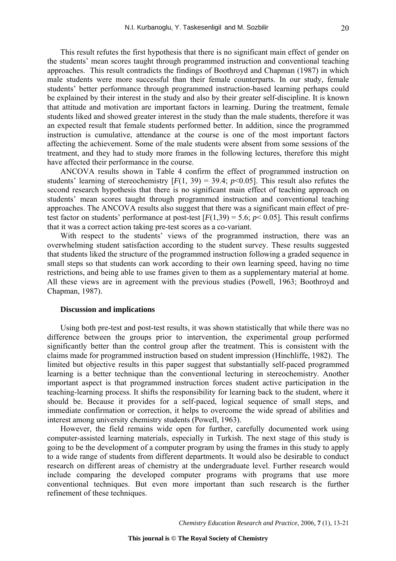This result refutes the first hypothesis that there is no significant main effect of gender on the students' mean scores taught through programmed instruction and conventional teaching approaches. This result contradicts the findings of Boothroyd and Chapman (1987) in which male students were more successful than their female counterparts. In our study, female students' better performance through programmed instruction-based learning perhaps could be explained by their interest in the study and also by their greater self-discipline. It is known that attitude and motivation are important factors in learning. During the treatment, female students liked and showed greater interest in the study than the male students, therefore it was an expected result that female students performed better. In addition, since the programmed instruction is cumulative, attendance at the course is one of the most important factors affecting the achievement. Some of the male students were absent from some sessions of the treatment, and they had to study more frames in the following lectures, therefore this might have affected their performance in the course.

ANCOVA results shown in Table 4 confirm the effect of programmed instruction on students' learning of stereochemistry  $[F(1, 39) = 39.4; p<0.05]$ . This result also refutes the second research hypothesis that there is no significant main effect of teaching approach on students' mean scores taught through programmed instruction and conventional teaching approaches. The ANCOVA results also suggest that there was a significant main effect of pretest factor on students' performance at post-test  $[F(1,39) = 5.6; p < 0.05]$ . This result confirms that it was a correct action taking pre-test scores as a co-variant.

With respect to the students' views of the programmed instruction, there was an overwhelming student satisfaction according to the student survey. These results suggested that students liked the structure of the programmed instruction following a graded sequence in small steps so that students can work according to their own learning speed, having no time restrictions, and being able to use frames given to them as a supplementary material at home. All these views are in agreement with the previous studies (Powell, 1963; Boothroyd and Chapman, 1987).

# **Discussion and implications**

Using both pre-test and post-test results, it was shown statistically that while there was no difference between the groups prior to intervention, the experimental group performed significantly better than the control group after the treatment. This is consistent with the claims made for programmed instruction based on student impression (Hinchliffe, 1982). The limited but objective results in this paper suggest that substantially self-paced programmed learning is a better technique than the conventional lecturing in stereochemistry. Another important aspect is that programmed instruction forces student active participation in the teaching-learning process. It shifts the responsibility for learning back to the student, where it should be. Because it provides for a self-paced, logical sequence of small steps, and immediate confirmation or correction, it helps to overcome the wide spread of abilities and interest among university chemistry students (Powell, 1963).

However, the field remains wide open for further, carefully documented work using computer-assisted learning materials, especially in Turkish. The next stage of this study is going to be the development of a computer program by using the frames in this study to apply to a wide range of students from different departments. It would also be desirable to conduct research on different areas of chemistry at the undergraduate level. Further research would include comparing the developed computer programs with programs that use more conventional techniques. But even more important than such research is the further refinement of these techniques.